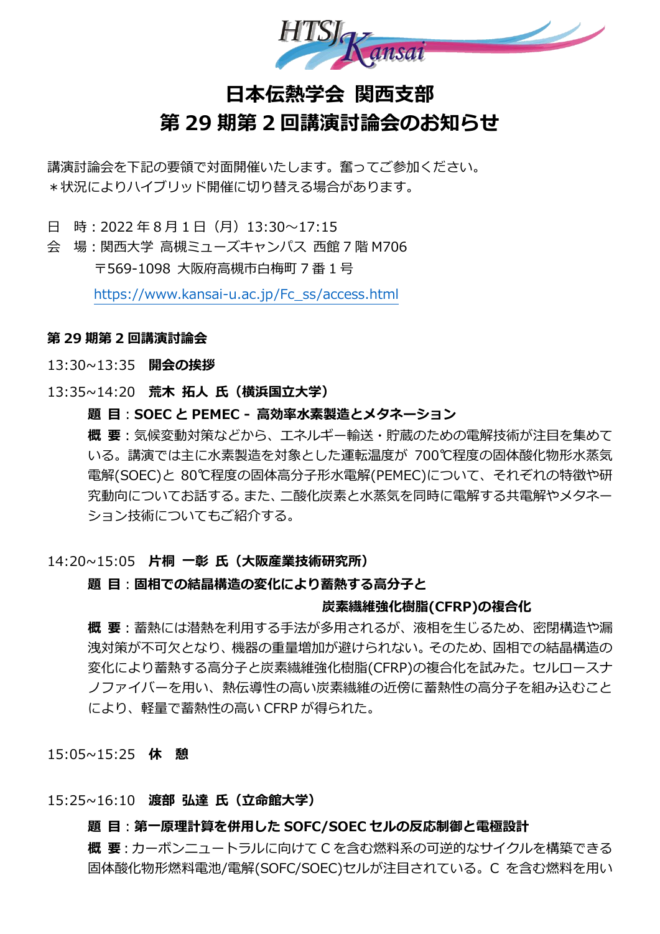

# **日本伝熱学会 関西支部 第 29 期第 2 回講演討論会のお知らせ**

講演討論会を下記の要領で対面開催いたします。奮ってご参加ください。 \*状況によりハイブリッド開催に切り替える場合があります。

日 時: 2022 年 8 月 1 日 (月) 13:30~17:15

会 場:関西大学 高槻ミューズキャンパス 西館 7 階 M706 〒569-1098 大阪府高槻市白梅町 7 番 1 号

[https://www.kansai-u.ac.jp/Fc\\_ss/access.html](https://www.kansai-u.ac.jp/Fc_ss/access.html)

## **第 29 期第 2 回講演討論会**

13:30~13:35 **開会の挨拶**

13:35~14:20 **荒木 拓人 氏(横浜国立大学)**

**題 目**:**SOEC と PEMEC - 高効率水素製造とメタネーション**

**概 要**:気候変動対策などから、エネルギー輸送・貯蔵のための電解技術が注目を集めて いる。講演では主に水素製造を対象とした運転温度が 700℃程度の固体酸化物形水蒸気 電解(SOEC)と 80℃程度の固体高分子形水電解(PEMEC)について、それぞれの特徴や研 究動向についてお話する。また、二酸化炭素と水蒸気を同時に電解する共電解やメタネー ション技術についてもご紹介する。

# 14:20~15:05 **片桐 一彰 氏(大阪産業技術研究所)**

## **題 目**:**固相での結晶構造の変化により蓄熱する高分子と**

#### **炭素繊維強化樹脂(CFRP)の複合化**

**概 要**:蓄熱には潜熱を利用する手法が多用されるが、液相を生じるため、密閉構造や漏 洩対策が不可欠となり、機器の重量増加が避けられない。そのため、固相での結晶構造の 変化により蓄熱する高分子と炭素繊維強化樹脂(CFRP)の複合化を試みた。セルロースナ ノファイバーを用い、熱伝導性の高い炭素繊維の近傍に蓄熱性の高分子を組み込むこと により、軽量で蓄熱性の高い CFRP が得られた。

15:05~15:25 **休 憩**

## 15:25~16:10 **渡部 弘達 氏(立命館大学)**

#### **題 目**:**第一原理計算を併用した SOFC/SOEC セルの反応制御と電極設計**

**概 要**:カーボンニュートラルに向けて C を含む燃料系の可逆的なサイクルを構築できる 固体酸化物形燃料電池/電解(SOFC/SOEC)セルが注目されている。C を含む燃料を用い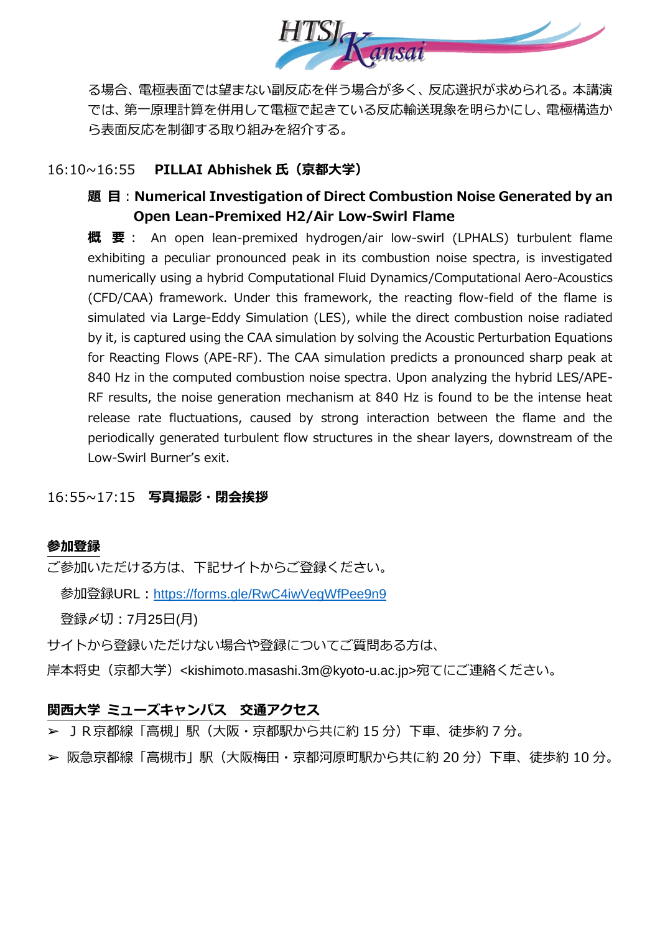

る場合、電極表面では望まない副反応を伴う場合が多く、反応選択が求められる。本講演 では、第一原理計算を併用して電極で起きている反応輸送現象を明らかにし、電極構造か ら表面反応を制御する取り組みを紹介する。

# 16:10~16:55 **PILLAI Abhishek 氏(京都大学)**

# **題 目**:**Numerical Investigation of Direct Combustion Noise Generated by an Open Lean-Premixed H2/Air Low-Swirl Flame**

**概 要**: An open lean-premixed hydrogen/air low-swirl (LPHALS) turbulent flame exhibiting a peculiar pronounced peak in its combustion noise spectra, is investigated numerically using a hybrid Computational Fluid Dynamics/Computational Aero-Acoustics (CFD/CAA) framework. Under this framework, the reacting flow-field of the flame is simulated via Large-Eddy Simulation (LES), while the direct combustion noise radiated by it, is captured using the CAA simulation by solving the Acoustic Perturbation Equations for Reacting Flows (APE-RF). The CAA simulation predicts a pronounced sharp peak at 840 Hz in the computed combustion noise spectra. Upon analyzing the hybrid LES/APE-RF results, the noise generation mechanism at 840 Hz is found to be the intense heat release rate fluctuations, caused by strong interaction between the flame and the periodically generated turbulent flow structures in the shear layers, downstream of the Low-Swirl Burner's exit.

# 16:55~17:15 **写真撮影・閉会挨拶**

# **参加登録**

ご参加いただける方は、下記サイトからご登録ください。

参加登録URL: <https://forms.gle/RwC4iwVegWfPee9n9>

登録〆切:7月25日(月)

サイトから登録いただけない場合や登録についてご質問ある方は、

岸本将史(京都大学)<kishimoto.masashi.3m@kyoto-u.ac.jp>宛てにご連絡ください。

# **関西大学 ミューズキャンパス 交通アクセス**

➢ JR京都線「高槻」駅(大阪・京都駅から共に約 15 分)下車、徒歩約 7 分。

➢ 阪急京都線「高槻市」駅(大阪梅田・京都河原町駅から共に約 20 分)下車、徒歩約 10 分。